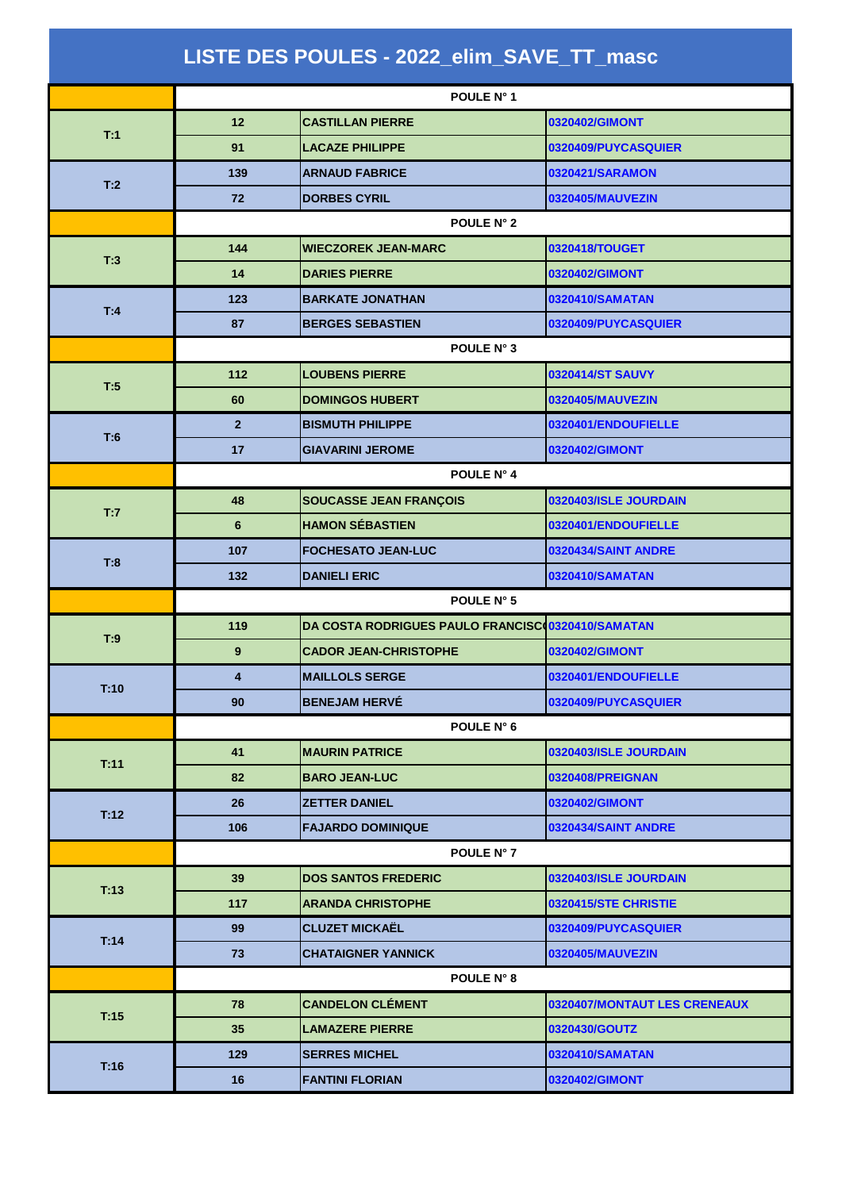|      | POULE N° 1              |                                                   |                              |
|------|-------------------------|---------------------------------------------------|------------------------------|
|      | 12                      | <b>CASTILLAN PIERRE</b>                           | 0320402/GIMONT               |
| T:1  | 91                      | <b>LACAZE PHILIPPE</b>                            | 0320409/PUYCASQUIER          |
| T:2  | 139                     | <b>ARNAUD FABRICE</b>                             | 0320421/SARAMON              |
|      | 72                      | <b>DORBES CYRIL</b>                               | 0320405/MAUVEZIN             |
|      |                         | <b>POULE N° 2</b>                                 |                              |
|      | 144                     | <b>WIECZOREK JEAN-MARC</b>                        | 0320418/TOUGET               |
| T:3  | 14                      | <b>DARIES PIERRE</b>                              | 0320402/GIMONT               |
|      | 123                     | <b>BARKATE JONATHAN</b>                           | 0320410/SAMATAN              |
| T:4  | 87                      | <b>BERGES SEBASTIEN</b>                           | 0320409/PUYCASQUIER          |
|      |                         | POULE N° 3                                        |                              |
|      | 112                     | <b>LOUBENS PIERRE</b>                             | <b>0320414/ST SAUVY</b>      |
| T:5  | 60                      | <b>DOMINGOS HUBERT</b>                            | 0320405/MAUVEZIN             |
| T:6  | 2 <sup>1</sup>          | <b>BISMUTH PHILIPPE</b>                           | 0320401/ENDOUFIELLE          |
|      | 17                      | <b>GIAVARINI JEROME</b>                           | 0320402/GIMONT               |
|      |                         | POULE N° 4                                        |                              |
| T:7  | 48                      | SOUCASSE JEAN FRANÇOIS                            | 0320403/ISLE JOURDAIN        |
|      | 6                       | <b>HAMON SÉBASTIEN</b>                            | 0320401/ENDOUFIELLE          |
| T:8  | 107                     | <b>FOCHESATO JEAN-LUC</b>                         | 0320434/SAINT ANDRE          |
|      | 132                     | <b>DANIELI ERIC</b>                               | 0320410/SAMATAN              |
|      | POULE N° 5              |                                                   |                              |
| T:9  | 119                     | DA COSTA RODRIGUES PAULO FRANCISC 0320410/SAMATAN |                              |
|      |                         |                                                   |                              |
|      | 9                       | <b>CADOR JEAN-CHRISTOPHE</b>                      | 0320402/GIMONT               |
|      | $\overline{\mathbf{4}}$ | <b>MAILLOLS SERGE</b>                             | 0320401/ENDOUFIELLE          |
| T:10 | 90                      | <b>BENEJAM HERVÉ</b>                              | 0320409/PUYCASQUIER          |
|      |                         | POULE N° 6                                        |                              |
|      | 41                      | <b>MAURIN PATRICE</b>                             | 0320403/ISLE JOURDAIN        |
| T:11 | 82                      | <b>BARO JEAN-LUC</b>                              | 0320408/PREIGNAN             |
|      | 26                      | <b>ZETTER DANIEL</b>                              | 0320402/GIMONT               |
| T:12 | 106                     | <b>FAJARDO DOMINIQUE</b>                          | 0320434/SAINT ANDRE          |
|      |                         | POULE N° 7                                        |                              |
|      | 39                      | <b>DOS SANTOS FREDERIC</b>                        | 0320403/ISLE JOURDAIN        |
| T:13 | 117                     | <b>ARANDA CHRISTOPHE</b>                          | 0320415/STE CHRISTIE         |
|      | 99                      | <b>CLUZET MICKAËL</b>                             | 0320409/PUYCASQUIER          |
| T:14 | 73                      | <b>CHATAIGNER YANNICK</b>                         | 0320405/MAUVEZIN             |
|      |                         | POULE N° 8                                        |                              |
|      | 78                      | <b>CANDELON CLÉMENT</b>                           | 0320407/MONTAUT LES CRENEAUX |
| T:15 | 35                      | <b>LAMAZERE PIERRE</b>                            | 0320430/GOUTZ                |
| T:16 | 129                     | <b>SERRES MICHEL</b>                              | 0320410/SAMATAN              |

## **LISTE DES POULES - 2022\_elim\_SAVE\_TT\_masc**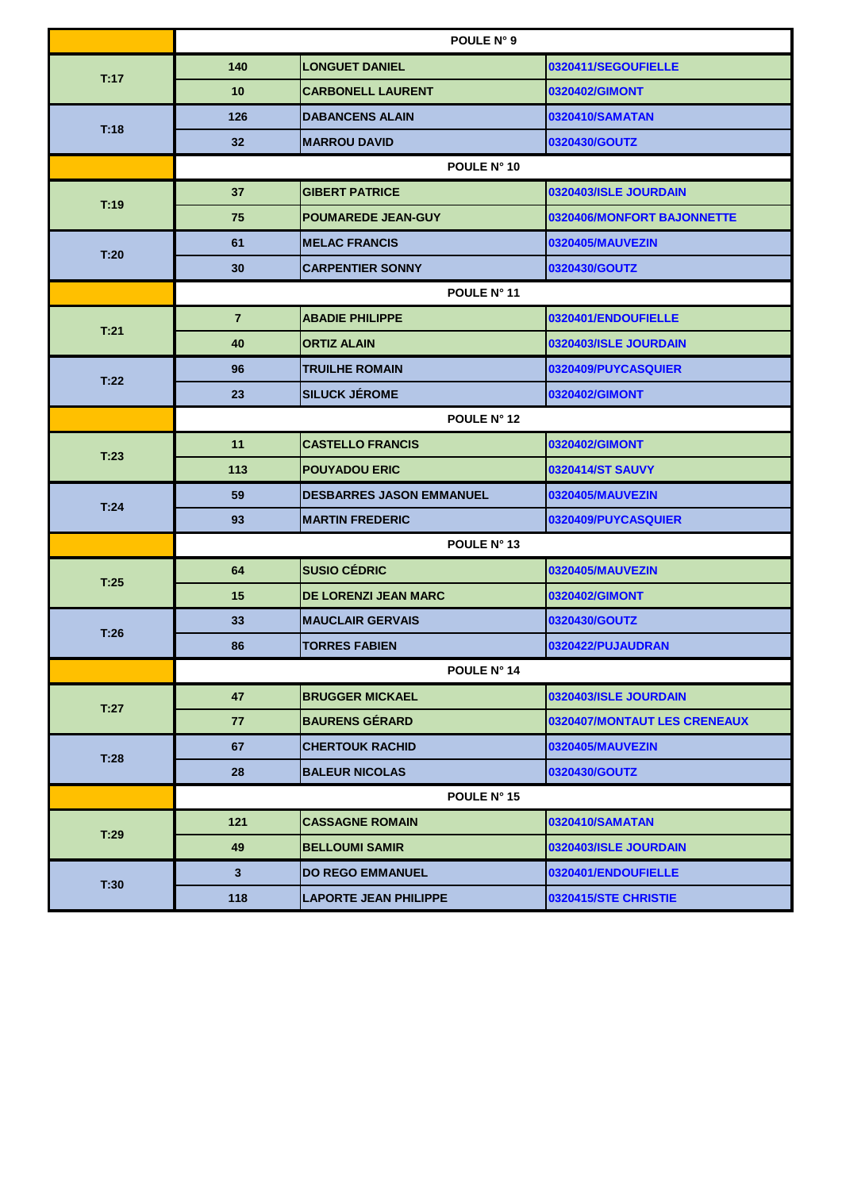|      |                         | POULE N° 9                      |                              |
|------|-------------------------|---------------------------------|------------------------------|
|      | 140                     | <b>LONGUET DANIEL</b>           | 0320411/SEGOUFIELLE          |
| T:17 | 10                      | <b>CARBONELL LAURENT</b>        | 0320402/GIMONT               |
|      | 126                     | <b>DABANCENS ALAIN</b>          | 0320410/SAMATAN              |
| T:18 | 32                      | <b>MARROU DAVID</b>             | 0320430/GOUTZ                |
|      |                         | POULE N° 10                     |                              |
| T:19 | 37                      | <b>GIBERT PATRICE</b>           | 0320403/ISLE JOURDAIN        |
|      | 75                      | <b>POUMAREDE JEAN-GUY</b>       | 0320406/MONFORT BAJONNETTE   |
| T:20 | 61                      | <b>MELAC FRANCIS</b>            | 0320405/MAUVEZIN             |
|      | 30                      | <b>CARPENTIER SONNY</b>         | 0320430/GOUTZ                |
|      |                         | POULE N° 11                     |                              |
| T:21 | $\overline{7}$          | <b>ABADIE PHILIPPE</b>          | 0320401/ENDOUFIELLE          |
|      | 40                      | <b>ORTIZ ALAIN</b>              | 0320403/ISLE JOURDAIN        |
| T:22 | 96                      | <b>TRUILHE ROMAIN</b>           | 0320409/PUYCASQUIER          |
|      | 23                      | <b>SILUCK JÉROME</b>            | 0320402/GIMONT               |
|      |                         | POULE N° 12                     |                              |
|      | 11                      | <b>CASTELLO FRANCIS</b>         | 0320402/GIMONT               |
| T:23 | 113                     | <b>POUYADOU ERIC</b>            | 0320414/ST SAUVY             |
| T:24 | 59                      | <b>DESBARRES JASON EMMANUEL</b> | 0320405/MAUVEZIN             |
|      | 93                      | <b>MARTIN FREDERIC</b>          | 0320409/PUYCASQUIER          |
|      |                         | POULE N° 13                     |                              |
| T:25 | 64                      | <b>SUSIO CÉDRIC</b>             | 0320405/MAUVEZIN             |
|      | 15                      | <b>DE LORENZI JEAN MARC</b>     | 0320402/GIMONT               |
| T:26 | 33                      | <b>MAUCLAIR GERVAIS</b>         | 0320430/GOUTZ                |
|      | 86                      | <b>TORRES FABIEN</b>            | 0320422/PUJAUDRAN            |
|      |                         | POULE N° 14                     |                              |
| T:27 | 47                      | <b>BRUGGER MICKAEL</b>          | 0320403/ISLE JOURDAIN        |
|      | 77                      | <b>BAURENS GÉRARD</b>           | 0320407/MONTAUT LES CRENEAUX |
| T:28 | 67                      | <b>CHERTOUK RACHID</b>          | 0320405/MAUVEZIN             |
|      | 28                      | <b>BALEUR NICOLAS</b>           | 0320430/GOUTZ                |
|      |                         | POULE N° 15                     |                              |
| T:29 | 121                     | <b>CASSAGNE ROMAIN</b>          | 0320410/SAMATAN              |
|      | 49                      | <b>BELLOUMI SAMIR</b>           | 0320403/ISLE JOURDAIN        |
|      | $\overline{\mathbf{3}}$ | <b>DO REGO EMMANUEL</b>         | 0320401/ENDOUFIELLE          |
| T:30 | 118                     | <b>LAPORTE JEAN PHILIPPE</b>    | 0320415/STE CHRISTIE         |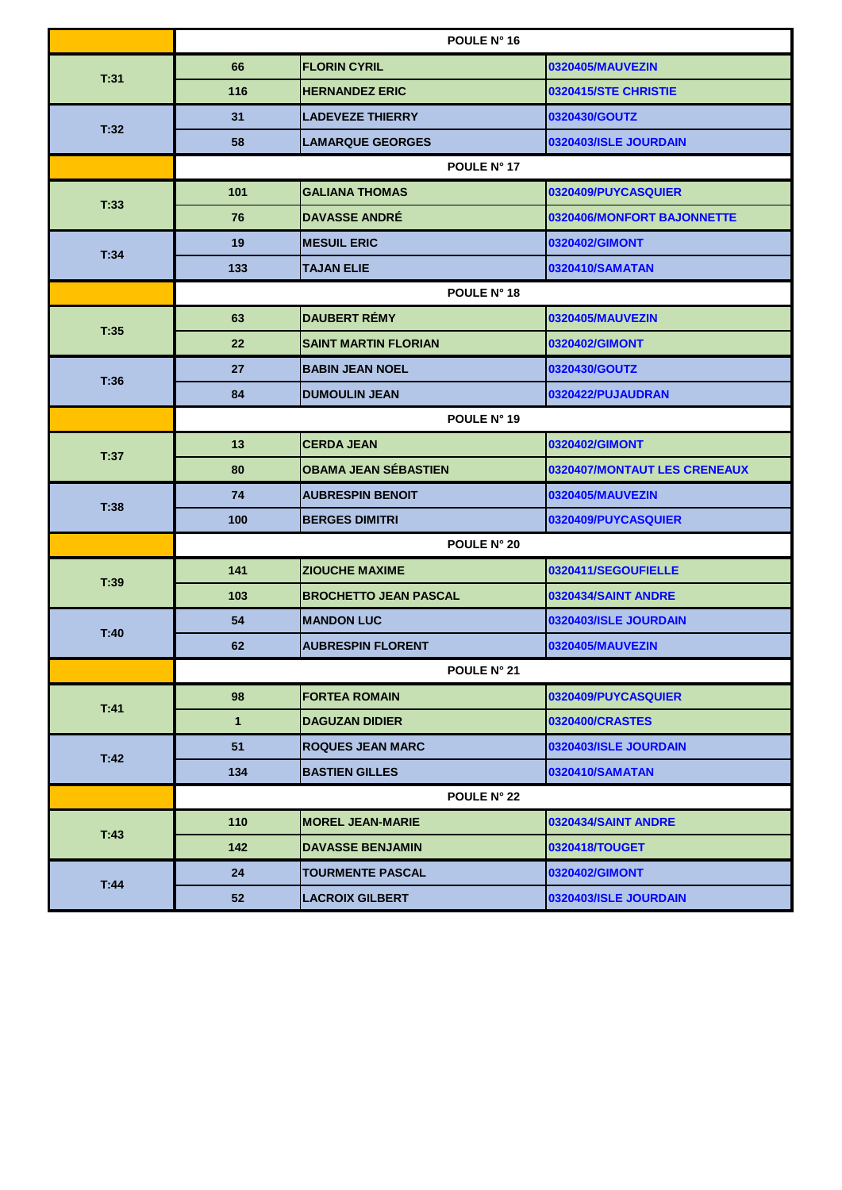|      |             | POULE N° 16                  |                              |
|------|-------------|------------------------------|------------------------------|
|      | 66          | <b>FLORIN CYRIL</b>          | 0320405/MAUVEZIN             |
| T:31 | 116         | <b>HERNANDEZ ERIC</b>        | 0320415/STE CHRISTIE         |
|      | 31          | <b>LADEVEZE THIERRY</b>      | 0320430/GOUTZ                |
| T:32 | 58          | <b>LAMARQUE GEORGES</b>      | 0320403/ISLE JOURDAIN        |
|      |             | POULE N° 17                  |                              |
| T:33 | 101         | <b>GALIANA THOMAS</b>        | 0320409/PUYCASQUIER          |
|      | 76          | <b>DAVASSE ANDRÉ</b>         | 0320406/MONFORT BAJONNETTE   |
| T:34 | 19          | <b>MESUIL ERIC</b>           | 0320402/GIMONT               |
|      | 133         | <b>TAJAN ELIE</b>            | 0320410/SAMATAN              |
|      |             | POULE N° 18                  |                              |
| T:35 | 63          | <b>DAUBERT RÉMY</b>          | 0320405/MAUVEZIN             |
|      | 22          | <b>SAINT MARTIN FLORIAN</b>  | 0320402/GIMONT               |
| T:36 | 27          | <b>BABIN JEAN NOEL</b>       | 0320430/GOUTZ                |
|      | 84          | <b>DUMOULIN JEAN</b>         | 0320422/PUJAUDRAN            |
|      |             | POULE N° 19                  |                              |
| T:37 | 13          | <b>CERDA JEAN</b>            | 0320402/GIMONT               |
|      | 80          | <b>OBAMA JEAN SÉBASTIEN</b>  | 0320407/MONTAUT LES CRENEAUX |
| T:38 | 74          | <b>AUBRESPIN BENOIT</b>      | 0320405/MAUVEZIN             |
|      | 100         | <b>BERGES DIMITRI</b>        | 0320409/PUYCASQUIER          |
|      |             | POULE N° 20                  |                              |
| T:39 | 141         | <b>ZIOUCHE MAXIME</b>        | 0320411/SEGOUFIELLE          |
|      | 103         | <b>BROCHETTO JEAN PASCAL</b> | 0320434/SAINT ANDRE          |
| T:40 | 54          | <b>MANDON LUC</b>            | 0320403/ISLE JOURDAIN        |
|      | 62          | <b>AUBRESPIN FLORENT</b>     | 0320405/MAUVEZIN             |
|      |             | POULE N° 21                  |                              |
| T:41 | 98          | <b>FORTEA ROMAIN</b>         | 0320409/PUYCASQUIER          |
|      | $\mathbf 1$ | <b>DAGUZAN DIDIER</b>        | 0320400/CRASTES              |
| T:42 | 51          | <b>ROQUES JEAN MARC</b>      | 0320403/ISLE JOURDAIN        |
|      | 134         | <b>BASTIEN GILLES</b>        | 0320410/SAMATAN              |
|      |             | <b>POULE N° 22</b>           |                              |
| T:43 | 110         | <b>MOREL JEAN-MARIE</b>      | 0320434/SAINT ANDRE          |
|      | 142         | <b>DAVASSE BENJAMIN</b>      | 0320418/TOUGET               |
|      | 24          | <b>TOURMENTE PASCAL</b>      | 0320402/GIMONT               |
| T:44 | 52          | <b>LACROIX GILBERT</b>       | 0320403/ISLE JOURDAIN        |

| ◡ | <b>TEACHOIA OILDENT</b> | <b>PUSEUTUS/IULL UUUINDAIIV</b> |
|---|-------------------------|---------------------------------|
|   |                         |                                 |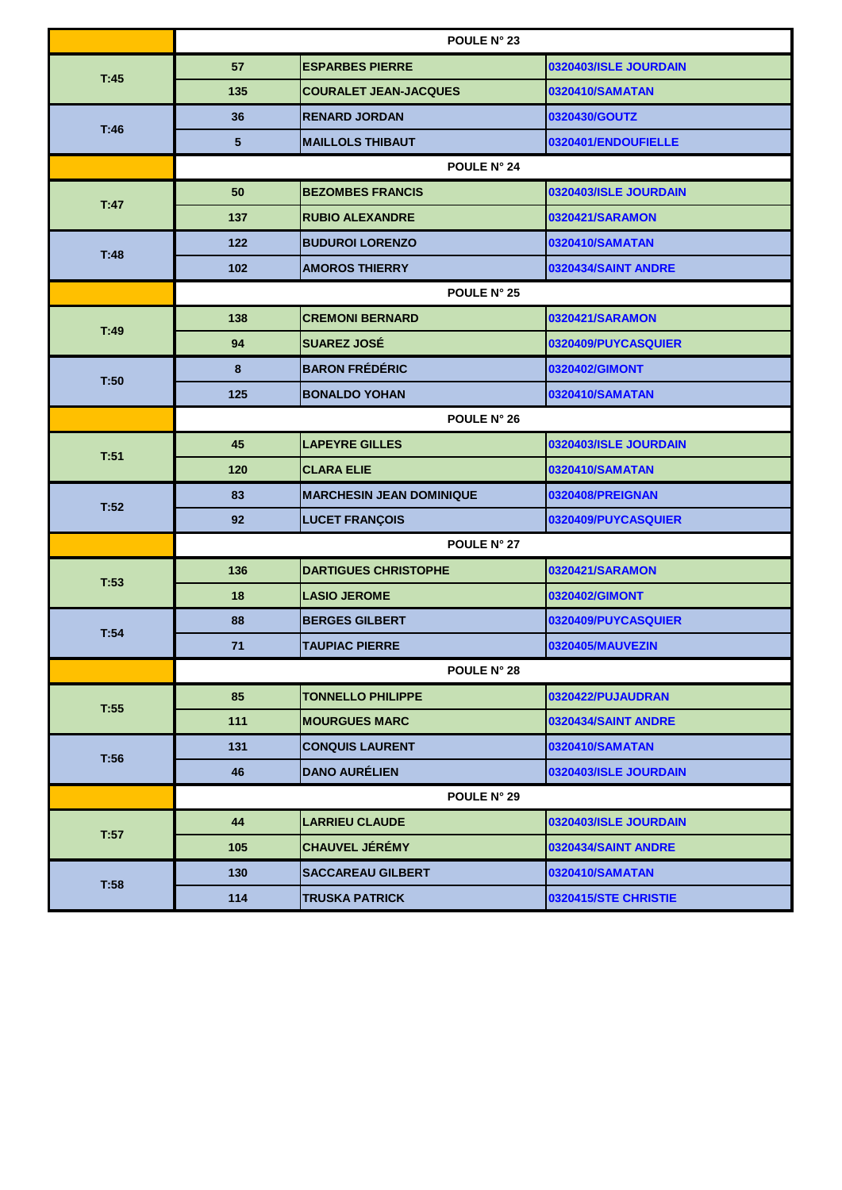|      |                | <b>POULE N° 23</b>               |                       |  |
|------|----------------|----------------------------------|-----------------------|--|
|      | 57             | <b>ESPARBES PIERRE</b>           | 0320403/ISLE JOURDAIN |  |
| T:45 | 135            | <b>COURALET JEAN-JACQUES</b>     | 0320410/SAMATAN       |  |
|      | 36             | <b>RENARD JORDAN</b>             | 0320430/GOUTZ         |  |
| T:46 | $5\phantom{1}$ | <b>MAILLOLS THIBAUT</b>          | 0320401/ENDOUFIELLE   |  |
|      |                | POULE N° 24                      |                       |  |
| T:47 | 50             | <b>BEZOMBES FRANCIS</b>          | 0320403/ISLE JOURDAIN |  |
|      | 137            | <b>RUBIO ALEXANDRE</b>           | 0320421/SARAMON       |  |
| T:48 | $122$          | <b>BUDUROI LORENZO</b>           | 0320410/SAMATAN       |  |
|      | 102            | <b>AMOROS THIERRY</b>            | 0320434/SAINT ANDRE   |  |
|      |                | <b>POULE N° 25</b>               |                       |  |
| T:49 | 138            | <b>CREMONI BERNARD</b>           | 0320421/SARAMON       |  |
|      | 94             | <b>SUAREZ JOSÉ</b>               | 0320409/PUYCASQUIER   |  |
| T:50 | 8              | <b>BARON FRÉDÉRIC</b>            | 0320402/GIMONT        |  |
|      | 125            | <b>BONALDO YOHAN</b>             | 0320410/SAMATAN       |  |
|      |                | <b>POULE N° 26</b>               |                       |  |
| T:51 | 45             | <b>LAPEYRE GILLES</b>            | 0320403/ISLE JOURDAIN |  |
|      | 120            | <b>CLARA ELIE</b>                | 0320410/SAMATAN       |  |
| T:52 | 83             | <b>IMARCHESIN JEAN DOMINIQUE</b> | 0320408/PREIGNAN      |  |
|      | 92             | <b>LUCET FRANÇOIS</b>            | 0320409/PUYCASQUIER   |  |
|      |                | POULE N° 27                      |                       |  |
| T:53 | 136            | <b>DARTIGUES CHRISTOPHE</b>      | 0320421/SARAMON       |  |
|      | 18             | <b>LASIO JEROME</b>              | 0320402/GIMONT        |  |
| T:54 | 88             | <b>BERGES GILBERT</b>            | 0320409/PUYCASQUIER   |  |
|      | 71             | <b>TAUPIAC PIERRE</b>            | 0320405/MAUVEZIN      |  |
|      |                | POULE N° 28                      |                       |  |
| T:55 | 85             | <b>TONNELLO PHILIPPE</b>         | 0320422/PUJAUDRAN     |  |
|      | 111            | <b>MOURGUES MARC</b>             | 0320434/SAINT ANDRE   |  |
| T:56 | 131            | <b>CONQUIS LAURENT</b>           | 0320410/SAMATAN       |  |
|      | 46             | <b>DANO AURÉLIEN</b>             | 0320403/ISLE JOURDAIN |  |
|      |                | POULE N° 29                      |                       |  |
| T:57 | 44             | <b>LARRIEU CLAUDE</b>            | 0320403/ISLE JOURDAIN |  |
|      | 105            | <b>CHAUVEL JÉRÉMY</b>            | 0320434/SAINT ANDRE   |  |
|      | 130            | <b>SACCAREAU GILBERT</b>         | 0320410/SAMATAN       |  |
| T:58 | 114            | <b>TRUSKA PATRICK</b>            | 0320415/STE CHRISTIE  |  |